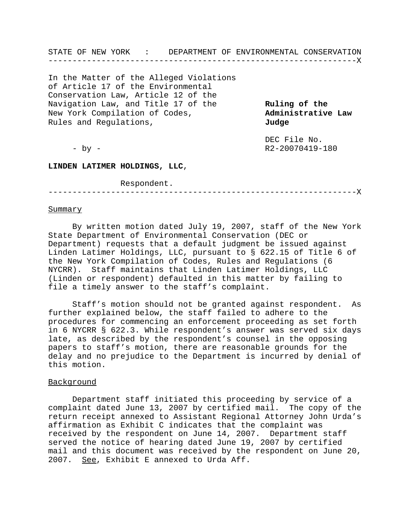STATE OF NEW YORK : DEPARTMENT OF ENVIRONMENTAL CONSERVATION ----------------------------------------------------------------X

In the Matter of the Alleged Violations of Article 17 of the Environmental Conservation Law, Article 12 of the Navigation Law, and Title 17 of the **Ruling of the** New York Compilation of Codes, **Administrative Law**  Rules and Regulations, **Judge**

DEC File No. - by - R2-20070419-180

**LINDEN LATIMER HOLDINGS, LLC**,

Respondent.

----------------------------------------------------------------X

## **Summary**

By written motion dated July 19, 2007, staff of the New York State Department of Environmental Conservation (DEC or Department) requests that a default judgment be issued against Linden Latimer Holdings, LLC, pursuant to § 622.15 of Title 6 of the New York Compilation of Codes, Rules and Regulations (6 NYCRR). Staff maintains that Linden Latimer Holdings, LLC (Linden or respondent) defaulted in this matter by failing to file a timely answer to the staff's complaint.

Staff's motion should not be granted against respondent. As further explained below, the staff failed to adhere to the procedures for commencing an enforcement proceeding as set forth in 6 NYCRR § 622.3. While respondent's answer was served six days late, as described by the respondent's counsel in the opposing papers to staff's motion, there are reasonable grounds for the delay and no prejudice to the Department is incurred by denial of this motion.

## Background

Department staff initiated this proceeding by service of a complaint dated June 13, 2007 by certified mail. The copy of the return receipt annexed to Assistant Regional Attorney John Urda's affirmation as Exhibit C indicates that the complaint was received by the respondent on June 14, 2007. Department staff served the notice of hearing dated June 19, 2007 by certified mail and this document was received by the respondent on June 20, 2007. See, Exhibit E annexed to Urda Aff.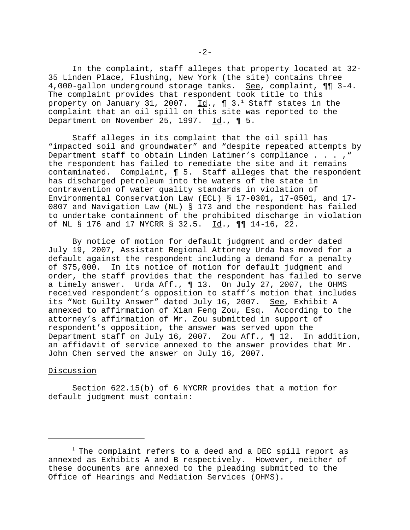In the complaint, staff alleges that property located at 32- 35 Linden Place, Flushing, New York (the site) contains three 4,000-gallon underground storage tanks. See, complaint,  $\P\P$  3-4. The complaint provides that respondent took title to this property on January 31, 2007.  $\underline{\texttt{Id}}.$ , ¶ 3. $^1$  Staff states in the complaint that an oil spill on this site was reported to the Department on November 25, 1997.  $\underline{Id}$ ., ¶ 5.

Staff alleges in its complaint that the oil spill has "impacted soil and groundwater" and "despite repeated attempts by Department staff to obtain Linden Latimer's compliance . . . ," the respondent has failed to remediate the site and it remains contaminated. Complaint, ¶ 5. Staff alleges that the respondent has discharged petroleum into the waters of the state in contravention of water quality standards in violation of Environmental Conservation Law (ECL) § 17-0301, 17-0501, and 17- 0807 and Navigation Law (NL) § 173 and the respondent has failed to undertake containment of the prohibited discharge in violation of NL § 176 and 17 NYCRR § 32.5.  $\underline{Id}$ ., ¶¶ 14-16, 22.

By notice of motion for default judgment and order dated July 19, 2007, Assistant Regional Attorney Urda has moved for a default against the respondent including a demand for a penalty of \$75,000. In its notice of motion for default judgment and order, the staff provides that the respondent has failed to serve a timely answer. Urda Aff., ¶ 13. On July 27, 2007, the OHMS received respondent's opposition to staff's motion that includes its "Not Guilty Answer" dated July 16, 2007. See, Exhibit A annexed to affirmation of Xian Feng Zou, Esq. According to the attorney's affirmation of Mr. Zou submitted in support of respondent's opposition, the answer was served upon the Department staff on July 16, 2007. Zou Aff., ¶ 12. In addition, an affidavit of service annexed to the answer provides that Mr. John Chen served the answer on July 16, 2007.

## Discussion

Section 622.15(b) of 6 NYCRR provides that a motion for default judgment must contain:

 $^{\rm l}$  The complaint refers to a deed and a DEC spill report as annexed as Exhibits A and B respectively. However, neither of these documents are annexed to the pleading submitted to the Office of Hearings and Mediation Services (OHMS).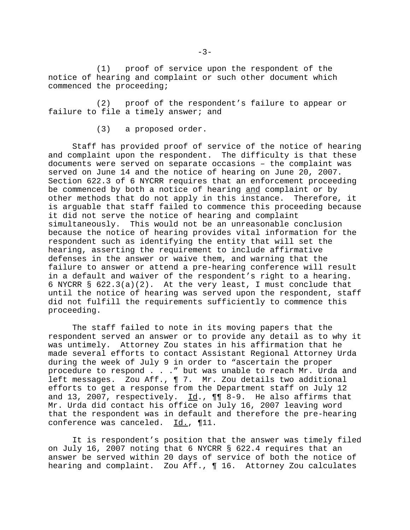(1) proof of service upon the respondent of the notice of hearing and complaint or such other document which commenced the proceeding;

(2) proof of the respondent's failure to appear or failure to file a timely answer; and

(3) a proposed order.

Staff has provided proof of service of the notice of hearing and complaint upon the respondent. The difficulty is that these documents were served on separate occasions – the complaint was served on June 14 and the notice of hearing on June 20, 2007. Section 622.3 of 6 NYCRR requires that an enforcement proceeding be commenced by both a notice of hearing and complaint or by other methods that do not apply in this instance. Therefore, it is arguable that staff failed to commence this proceeding because it did not serve the notice of hearing and complaint simultaneously. This would not be an unreasonable conclusion because the notice of hearing provides vital information for the respondent such as identifying the entity that will set the hearing, asserting the requirement to include affirmative defenses in the answer or waive them, and warning that the failure to answer or attend a pre-hearing conference will result in a default and waiver of the respondent's right to a hearing. 6 NYCRR § 622.3(a)(2). At the very least, I must conclude that until the notice of hearing was served upon the respondent, staff did not fulfill the requirements sufficiently to commence this proceeding.

The staff failed to note in its moving papers that the respondent served an answer or to provide any detail as to why it was untimely. Attorney Zou states in his affirmation that he made several efforts to contact Assistant Regional Attorney Urda during the week of July 9 in order to "ascertain the proper procedure to respond . . ." but was unable to reach Mr. Urda and left messages. Zou Aff., ¶ 7. Mr. Zou details two additional efforts to get a response from the Department staff on July 12 and 13, 2007, respectively. Id., ¶¶ 8-9. He also affirms that Mr. Urda did contact his office on July 16, 2007 leaving word that the respondent was in default and therefore the pre-hearing conference was canceled. Id., 111.

It is respondent's position that the answer was timely filed on July 16, 2007 noting that 6 NYCRR § 622.4 requires that an answer be served within 20 days of service of both the notice of hearing and complaint. Zou Aff., ¶ 16. Attorney Zou calculates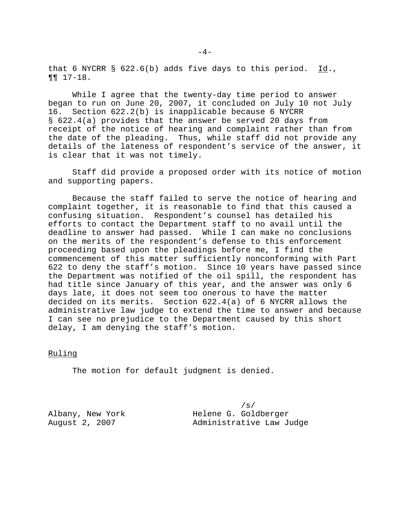that 6 NYCRR § 622.6(b) adds five days to this period.  $Id.$ ,  $\P\P$  $17-18$ .

While I agree that the twenty-day time period to answer began to run on June 20, 2007, it concluded on July 10 not July 16. Section 622.2(b) is inapplicable because 6 NYCRR § 622.4(a) provides that the answer be served 20 days from receipt of the notice of hearing and complaint rather than from the date of the pleading. Thus, while staff did not provide any details of the lateness of respondent's service of the answer, it is clear that it was not timely.

Staff did provide a proposed order with its notice of motion and supporting papers.

Because the staff failed to serve the notice of hearing and complaint together, it is reasonable to find that this caused a confusing situation. Respondent's counsel has detailed his efforts to contact the Department staff to no avail until the deadline to answer had passed. While I can make no conclusions on the merits of the respondent's defense to this enforcement proceeding based upon the pleadings before me, I find the commencement of this matter sufficiently nonconforming with Part 622 to deny the staff's motion. Since 10 years have passed since the Department was notified of the oil spill, the respondent has had title since January of this year, and the answer was only 6 days late, it does not seem too onerous to have the matter decided on its merits. Section 622.4(a) of 6 NYCRR allows the administrative law judge to extend the time to answer and because I can see no prejudice to the Department caused by this short delay, I am denying the staff's motion.

## Ruling

The motion for default judgment is denied.

/s/ Albany, New York Helene G. Goldberger August 2, 2007 Administrative Law Judge